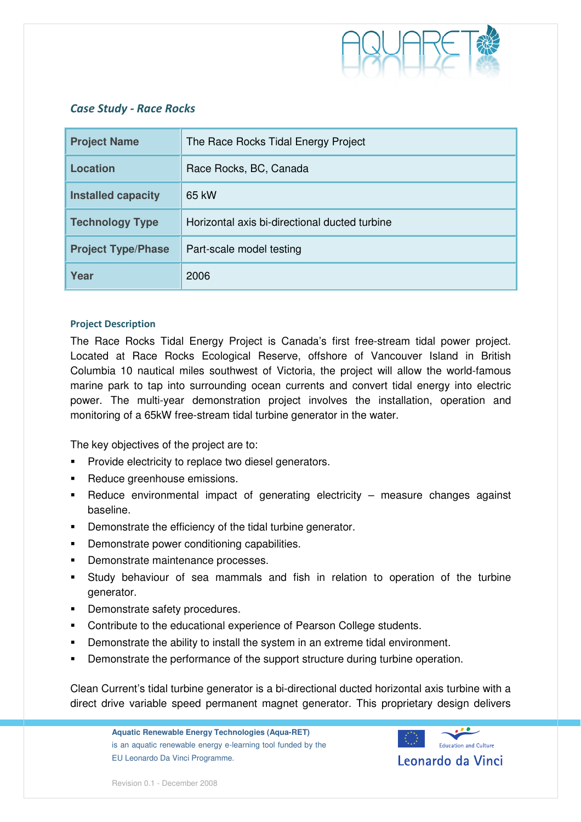

# Case Study - Race Rocks

| <b>Project Name</b>       | The Race Rocks Tidal Energy Project           |
|---------------------------|-----------------------------------------------|
| <b>Location</b>           | Race Rocks, BC, Canada                        |
| <b>Installed capacity</b> | 65 kW                                         |
| <b>Technology Type</b>    | Horizontal axis bi-directional ducted turbine |
| <b>Project Type/Phase</b> | Part-scale model testing                      |
| Year                      | 2006                                          |

# Project Description

The Race Rocks Tidal Energy Project is Canada's first free-stream tidal power project. Located at Race Rocks Ecological Reserve, offshore of Vancouver Island in British Columbia 10 nautical miles southwest of Victoria, the project will allow the world-famous marine park to tap into surrounding ocean currents and convert tidal energy into electric power. The multi-year demonstration project involves the installation, operation and monitoring of a 65kW free-stream tidal turbine generator in the water.

The key objectives of the project are to:

- **Provide electricity to replace two diesel generators.**
- **Reduce greenhouse emissions.**
- Reduce environmental impact of generating electricity measure changes against baseline.
- **•** Demonstrate the efficiency of the tidal turbine generator.
- **•** Demonstrate power conditioning capabilities.
- **•** Demonstrate maintenance processes.
- Study behaviour of sea mammals and fish in relation to operation of the turbine generator.
- **-** Demonstrate safety procedures.
- **EXECONTROL** Contribute to the educational experience of Pearson College students.
- Demonstrate the ability to install the system in an extreme tidal environment.
- Demonstrate the performance of the support structure during turbine operation.

Clean Current's tidal turbine generator is a bi-directional ducted horizontal axis turbine with a direct drive variable speed permanent magnet generator. This proprietary design delivers

**Aquatic Renewable Energy Technologies (Aqua-RET)**  is an aquatic renewable energy e-learning tool funded by the EU Leonardo Da Vinci Programme.



Revision 0.1 - December 2008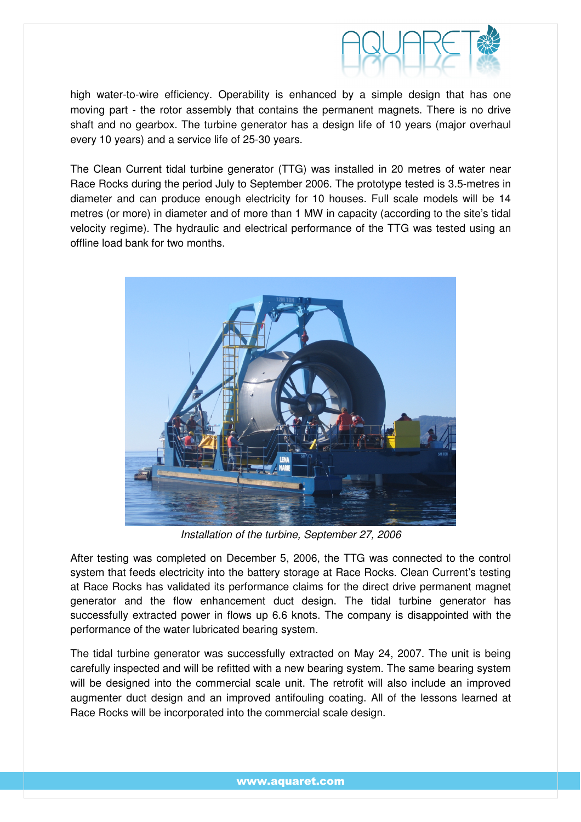

high water-to-wire efficiency. Operability is enhanced by a simple design that has one moving part - the rotor assembly that contains the permanent magnets. There is no drive shaft and no gearbox. The turbine generator has a design life of 10 years (major overhaul every 10 years) and a service life of 25-30 years.

The Clean Current tidal turbine generator (TTG) was installed in 20 metres of water near Race Rocks during the period July to September 2006. The prototype tested is 3.5-metres in diameter and can produce enough electricity for 10 houses. Full scale models will be 14 metres (or more) in diameter and of more than 1 MW in capacity (according to the site's tidal velocity regime). The hydraulic and electrical performance of the TTG was tested using an offline load bank for two months.



Installation of the turbine, September 27, 2006

After testing was completed on December 5, 2006, the TTG was connected to the control system that feeds electricity into the battery storage at Race Rocks. Clean Current's testing at Race Rocks has validated its performance claims for the direct drive permanent magnet generator and the flow enhancement duct design. The tidal turbine generator has successfully extracted power in flows up 6.6 knots. The company is disappointed with the performance of the water lubricated bearing system.

The tidal turbine generator was successfully extracted on May 24, 2007. The unit is being carefully inspected and will be refitted with a new bearing system. The same bearing system will be designed into the commercial scale unit. The retrofit will also include an improved augmenter duct design and an improved antifouling coating. All of the lessons learned at Race Rocks will be incorporated into the commercial scale design.